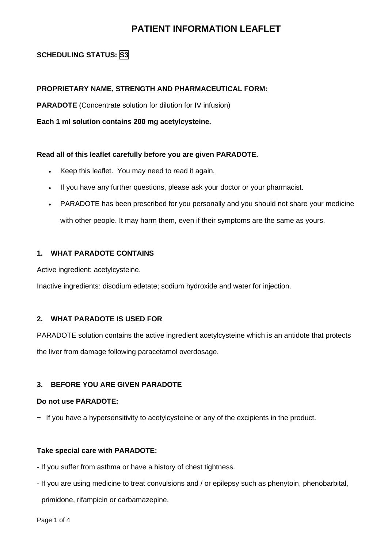# **PATIENT INFORMATION LEAFLET**

# **SCHEDULING STATUS: S3**

## **PROPRIETARY NAME, STRENGTH AND PHARMACEUTICAL FORM:**

**PARADOTE** (Concentrate solution for dilution for IV infusion)

**Each 1 ml solution contains 200 mg acetylcysteine.**

#### **Read all of this leaflet carefully before you are given PARADOTE.**

- Keep this leaflet. You may need to read it again.
- If you have any further questions, please ask your doctor or your pharmacist.
- PARADOTE has been prescribed for you personally and you should not share your medicine with other people. It may harm them, even if their symptoms are the same as yours.

## **1. WHAT PARADOTE CONTAINS**

Active ingredient: acetylcysteine.

Inactive ingredients: disodium edetate; sodium hydroxide and water for injection.

## **2. WHAT PARADOTE IS USED FOR**

PARADOTE solution contains the active ingredient acetylcysteine which is an antidote that protects the liver from damage following paracetamol overdosage.

## **3. BEFORE YOU ARE GIVEN PARADOTE**

#### **Do not use PARADOTE:**

− If you have a hypersensitivity to acetylcysteine or any of the excipients in the product.

#### **Take special care with PARADOTE:**

- If you suffer from asthma or have a history of chest tightness.
- If you are using medicine to treat convulsions and / or epilepsy such as phenytoin, phenobarbital, primidone, rifampicin or carbamazepine.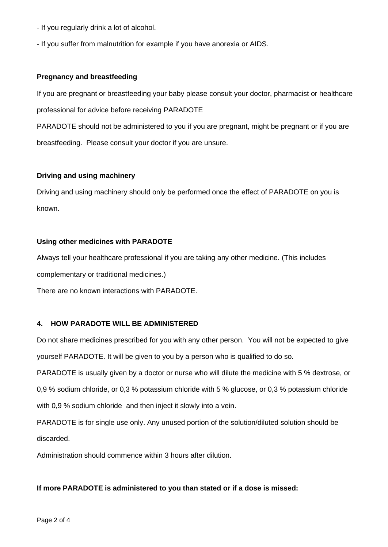- If you regularly drink a lot of alcohol.
- If you suffer from malnutrition for example if you have anorexia or AIDS.

#### **Pregnancy and breastfeeding**

If you are pregnant or breastfeeding your baby please consult your doctor, pharmacist or healthcare professional for advice before receiving PARADOTE

PARADOTE should not be administered to you if you are pregnant, might be pregnant or if you are breastfeeding. Please consult your doctor if you are unsure.

#### **Driving and using machinery**

Driving and using machinery should only be performed once the effect of PARADOTE on you is known.

#### **Using other medicines with PARADOTE**

Always tell your healthcare professional if you are taking any other medicine. (This includes

complementary or traditional medicines.)

There are no known interactions with PARADOTE.

#### **4. HOW PARADOTE WILL BE ADMINISTERED**

Do not share medicines prescribed for you with any other person. You will not be expected to give yourself PARADOTE. It will be given to you by a person who is qualified to do so.

PARADOTE is usually given by a doctor or nurse who will dilute the medicine with 5 % dextrose, or

0,9 % sodium chloride, or 0,3 % potassium chloride with 5 % glucose, or 0,3 % potassium chloride with 0,9 % sodium chloride and then inject it slowly into a vein.

PARADOTE is for single use only. Any unused portion of the solution/diluted solution should be discarded.

Administration should commence within 3 hours after dilution.

#### **If more PARADOTE is administered to you than stated or if a dose is missed:**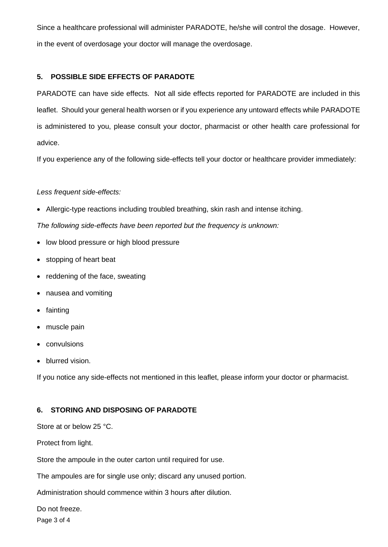Since a healthcare professional will administer PARADOTE, he/she will control the dosage. However, in the event of overdosage your doctor will manage the overdosage.

## **5. POSSIBLE SIDE EFFECTS OF PARADOTE**

PARADOTE can have side effects. Not all side effects reported for PARADOTE are included in this leaflet. Should your general health worsen or if you experience any untoward effects while PARADOTE is administered to you, please consult your doctor, pharmacist or other health care professional for advice.

If you experience any of the following side-effects tell your doctor or healthcare provider immediately:

## *Less frequent side-effects:*

• Allergic-type reactions including troubled breathing, skin rash and intense itching.

*The following side-effects have been reported but the frequency is unknown:*

- low blood pressure or high blood pressure
- stopping of heart beat
- reddening of the face, sweating
- nausea and vomiting
- fainting
- muscle pain
- convulsions
- blurred vision.

If you notice any side-effects not mentioned in this leaflet, please inform your doctor or pharmacist.

## **6. STORING AND DISPOSING OF PARADOTE**

Store at or below 25 °C.

Protect from light.

Store the ampoule in the outer carton until required for use.

The ampoules are for single use only; discard any unused portion.

Administration should commence within 3 hours after dilution.

Do not freeze.

Page 3 of 4